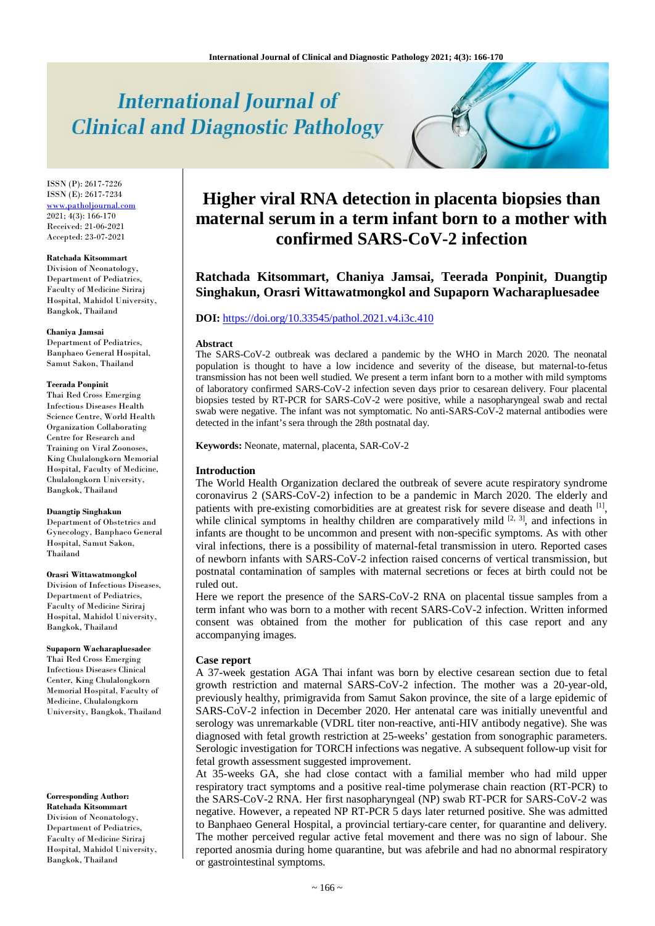# **International Journal of Clinical and Diagnostic Pathology**

ISSN (P): 2617-7226 ISSN (E): 2617-7234 [www.patholjournal.com](http://www.patholjournal.com/) 2021; 4(3): 166-170 Received: 21-06-2021 Accepted: 23-07-2021

#### **Ratchada Kitsommart**

Division of Neonatology, Department of Pediatrics, Faculty of Medicine Siriraj Hospital, Mahidol University, Bangkok, Thailand

#### **Chaniya Jamsai**

Department of Pediatrics, Banphaeo General Hospital, Samut Sakon, Thailand

#### **Teerada Ponpinit**

Thai Red Cross Emerging Infectious Diseases Health Science Centre, World Health Organization Collaborating Centre for Research and Training on Viral Zoonoses, King Chulalongkorn Memorial Hospital, Faculty of Medicine, Chulalongkorn University, Bangkok, Thailand

## **Duangtip Singhakun**

Department of Obstetrics and Gynecology, Banphaeo General Hospital, Samut Sakon, Thailand

#### **Orasri Wittawatmongkol**

Division of Infectious Diseases, Department of Pediatrics, Faculty of Medicine Siriraj Hospital, Mahidol University, Bangkok, Thailand

#### **Supaporn Wacharapluesadee**

Thai Red Cross Emerging Infectious Diseases Clinical Center, King Chulalongkorn Memorial Hospital, Faculty of Medicine, Chulalongkorn University, Bangkok, Thailand

**Corresponding Author: Ratchada Kitsommart** Division of Neonatology, Department of Pediatrics, Faculty of Medicine Siriraj Hospital, Mahidol University, Bangkok, Thailand

## **Higher viral RNA detection in placenta biopsies than maternal serum in a term infant born to a mother with confirmed SARS-CoV-2 infection**

**Ratchada Kitsommart, Chaniya Jamsai, Teerada Ponpinit, Duangtip Singhakun, Orasri Wittawatmongkol and Supaporn Wacharapluesadee**

## **DOI:** <https://doi.org/10.33545/pathol.2021.v4.i3c.410>

#### **Abstract**

The SARS-CoV-2 outbreak was declared a pandemic by the WHO in March 2020. The neonatal population is thought to have a low incidence and severity of the disease, but maternal-to-fetus transmission has not been well studied. We present a term infant born to a mother with mild symptoms of laboratory confirmed SARS-CoV-2 infection seven days prior to cesarean delivery. Four placental biopsies tested by RT-PCR for SARS-CoV-2 were positive, while a nasopharyngeal swab and rectal swab were negative. The infant was not symptomatic. No anti-SARS-CoV-2 maternal antibodies were detected in the infant's sera through the 28th postnatal day.

**Keywords:** Neonate, maternal, placenta, SAR-CoV-2

## **Introduction**

The World Health Organization declared the outbreak of severe acute respiratory syndrome coronavirus 2 (SARS-CoV-2) infection to be a pandemic in March 2020. The elderly and patients with pre-existing comorbidities are at greatest risk for severe disease and death  $\left[1\right]$ , while clinical symptoms in healthy children are comparatively mild  $[2, 3]$ , and infections in infants are thought to be uncommon and present with non-specific symptoms. As with other viral infections, there is a possibility of maternal-fetal transmission in utero. Reported cases of newborn infants with SARS-CoV-2 infection raised concerns of vertical transmission, but postnatal contamination of samples with maternal secretions or feces at birth could not be ruled out.

Here we report the presence of the SARS-CoV-2 RNA on placental tissue samples from a term infant who was born to a mother with recent SARS-CoV-2 infection. Written informed consent was obtained from the mother for publication of this case report and any accompanying images.

## **Case report**

A 37-week gestation AGA Thai infant was born by elective cesarean section due to fetal growth restriction and maternal SARS-CoV-2 infection. The mother was a 20-year-old, previously healthy, primigravida from Samut Sakon province, the site of a large epidemic of SARS-CoV-2 infection in December 2020. Her antenatal care was initially uneventful and serology was unremarkable (VDRL titer non-reactive, anti-HIV antibody negative). She was diagnosed with fetal growth restriction at 25-weeks' gestation from sonographic parameters. Serologic investigation for TORCH infections was negative. A subsequent follow-up visit for fetal growth assessment suggested improvement.

At 35-weeks GA, she had close contact with a familial member who had mild upper respiratory tract symptoms and a positive real-time polymerase chain reaction (RT-PCR) to the SARS-CoV-2 RNA. Her first nasopharyngeal (NP) swab RT-PCR for SARS-CoV-2 was negative. However, a repeated NP RT-PCR 5 days later returned positive. She was admitted to Banphaeo General Hospital, a provincial tertiary-care center, for quarantine and delivery. The mother perceived regular active fetal movement and there was no sign of labour. She reported anosmia during home quarantine, but was afebrile and had no abnormal respiratory or gastrointestinal symptoms.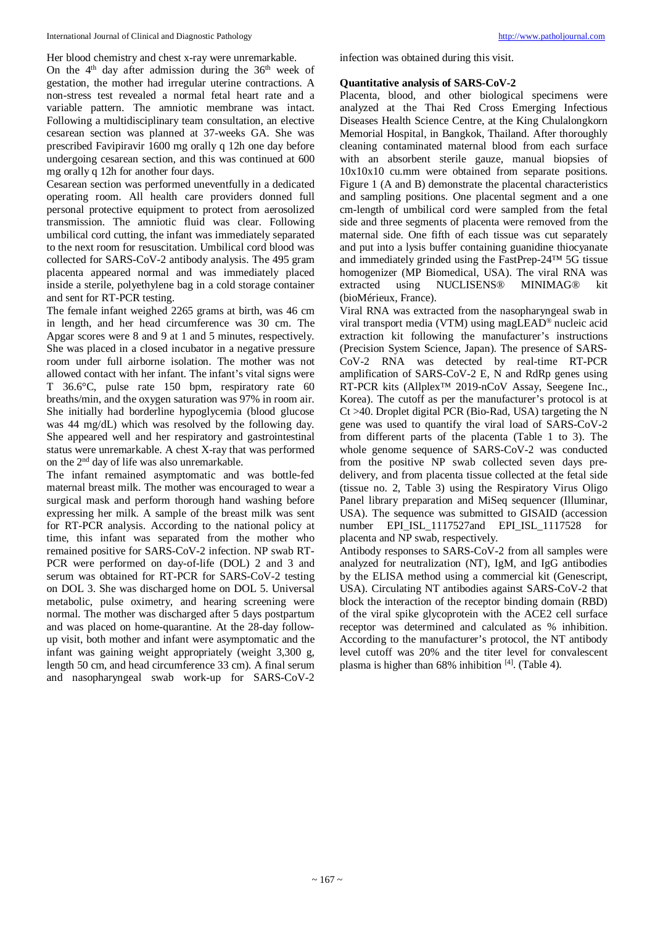Her blood chemistry and chest x-ray were unremarkable.

On the  $4<sup>th</sup>$  day after admission during the  $36<sup>th</sup>$  week of gestation, the mother had irregular uterine contractions. A non-stress test revealed a normal fetal heart rate and a variable pattern. The amniotic membrane was intact. Following a multidisciplinary team consultation, an elective cesarean section was planned at 37-weeks GA. She was prescribed Favipiravir 1600 mg orally q 12h one day before undergoing cesarean section, and this was continued at 600 mg orally q 12h for another four days.

Cesarean section was performed uneventfully in a dedicated operating room. All health care providers donned full personal protective equipment to protect from aerosolized transmission. The amniotic fluid was clear. Following umbilical cord cutting, the infant was immediately separated to the next room for resuscitation. Umbilical cord blood was collected for SARS-CoV-2 antibody analysis. The 495 gram placenta appeared normal and was immediately placed inside a sterile, polyethylene bag in a cold storage container and sent for RT-PCR testing.

The female infant weighed 2265 grams at birth, was 46 cm in length, and her head circumference was 30 cm. The Apgar scores were 8 and 9 at 1 and 5 minutes, respectively. She was placed in a closed incubator in a negative pressure room under full airborne isolation. The mother was not allowed contact with her infant. The infant's vital signs were T 36.6°C, pulse rate 150 bpm, respiratory rate 60 breaths/min, and the oxygen saturation was 97% in room air. She initially had borderline hypoglycemia (blood glucose was 44 mg/dL) which was resolved by the following day. She appeared well and her respiratory and gastrointestinal status were unremarkable. A chest X-ray that was performed on the 2nd day of life was also unremarkable.

The infant remained asymptomatic and was bottle-fed maternal breast milk. The mother was encouraged to wear a surgical mask and perform thorough hand washing before expressing her milk. A sample of the breast milk was sent for RT-PCR analysis. According to the national policy at time, this infant was separated from the mother who remained positive for SARS-CoV-2 infection. NP swab RT-PCR were performed on day-of-life (DOL) 2 and 3 and serum was obtained for RT-PCR for SARS-CoV-2 testing on DOL 3. She was discharged home on DOL 5. Universal metabolic, pulse oximetry, and hearing screening were normal. The mother was discharged after 5 days postpartum and was placed on home-quarantine. At the 28-day followup visit, both mother and infant were asymptomatic and the infant was gaining weight appropriately (weight 3,300 g, length 50 cm, and head circumference 33 cm). A final serum and nasopharyngeal swab work-up for SARS-CoV-2 infection was obtained during this visit.

## **Quantitative analysis of SARS-CoV-2**

Placenta, blood, and other biological specimens were analyzed at the Thai Red Cross Emerging Infectious Diseases Health Science Centre, at the King Chulalongkorn Memorial Hospital, in Bangkok, Thailand. After thoroughly cleaning contaminated maternal blood from each surface with an absorbent sterile gauze, manual biopsies of 10x10x10 cu.mm were obtained from separate positions. Figure 1 (A and B) demonstrate the placental characteristics and sampling positions. One placental segment and a one cm-length of umbilical cord were sampled from the fetal side and three segments of placenta were removed from the maternal side. One fifth of each tissue was cut separately and put into a lysis buffer containing guanidine thiocyanate and immediately grinded using the FastPrep-24™ 5G tissue homogenizer (MP Biomedical, USA). The viral RNA was extracted using NUCLISENS® MINIMAG® kit using NUCLISENS® MINIMAG® (bioMérieux, France).

Viral RNA was extracted from the nasopharyngeal swab in viral transport media (VTM) using magLEAD® nucleic acid extraction kit following the manufacturer's instructions (Precision System Science, Japan). The presence of SARS-CoV-2 RNA was detected by real-time RT-PCR amplification of SARS-CoV-2 E, N and RdRp genes using RT-PCR kits (Allplex™ 2019-nCoV Assay, Seegene Inc., Korea). The cutoff as per the manufacturer's protocol is at Ct >40. Droplet digital PCR (Bio-Rad, USA) targeting the N gene was used to quantify the viral load of SARS-CoV-2 from different parts of the placenta (Table 1 to 3). The whole genome sequence of SARS-CoV-2 was conducted from the positive NP swab collected seven days predelivery, and from placenta tissue collected at the fetal side (tissue no. 2, Table 3) using the Respiratory Virus Oligo Panel library preparation and MiSeq sequencer (Illuminar, USA). The sequence was submitted to GISAID (accession number EPI\_ISL\_1117527and EPI\_ISL\_1117528 for placenta and NP swab, respectively.

Antibody responses to SARS-CoV-2 from all samples were analyzed for neutralization (NT), IgM, and IgG antibodies by the ELISA method using a commercial kit (Genescript, USA). Circulating NT antibodies against SARS-CoV-2 that block the interaction of the receptor binding domain (RBD) of the viral spike glycoprotein with the ACE2 cell surface receptor was determined and calculated as % inhibition. According to the manufacturer's protocol, the NT antibody level cutoff was 20% and the titer level for convalescent plasma is higher than 68% inhibition [4]. (Table 4).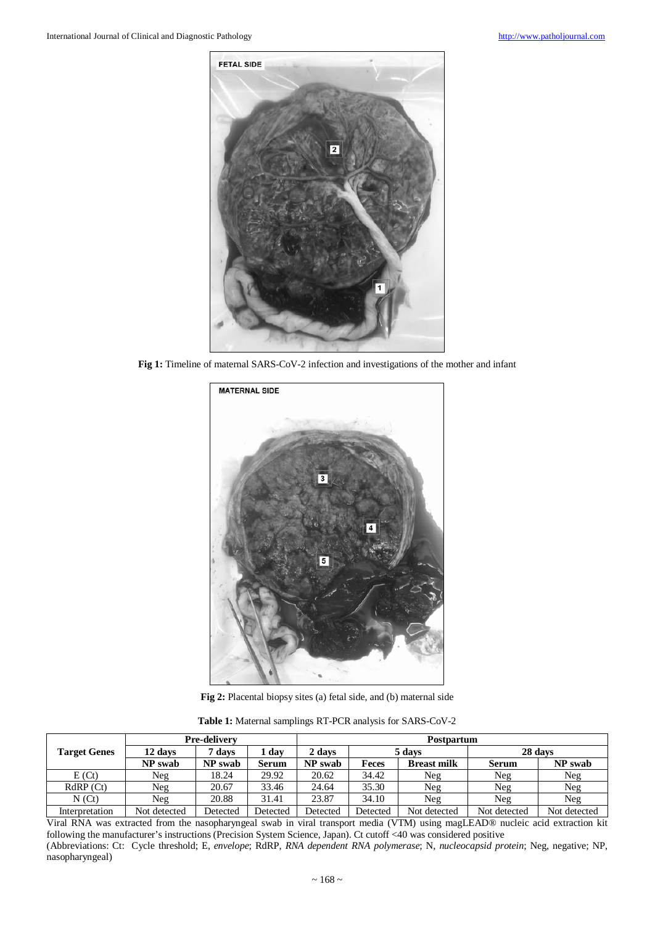

**Fig 1:** Timeline of maternal SARS-CoV-2 infection and investigations of the mother and infant



**Fig 2:** Placental biopsy sites (a) fetal side, and (b) maternal side

**Table 1:** Maternal samplings RT-PCR analysis for SARS-CoV-2

|                     | <b>Pre-delivery</b> |          |          | Postpartum |          |                    |              |              |
|---------------------|---------------------|----------|----------|------------|----------|--------------------|--------------|--------------|
| <b>Target Genes</b> | 12 days             | 7 days   | day      | 2 days     | 5 days   |                    | 28 days      |              |
|                     | NP swab             | NP swab  | Serum    | NP swab    | Feces    | <b>Breast milk</b> | <b>Serum</b> | NP swab      |
| E(Ct)               | Neg                 | 18.24    | 29.92    | 20.62      | 34.42    | Neg                | Neg          | Neg          |
| RdRP(Ct)            | Neg                 | 20.67    | 33.46    | 24.64      | 35.30    | Neg                | Neg          | Neg          |
| N(Ct)               | Neg                 | 20.88    | 31.41    | 23.87      | 34.10    | Neg                | Neg          | Neg          |
| Interpretation      | Not detected        | Detected | Detected | Detected   | Detected | Not detected       | Not detected | Not detected |

Viral RNA was extracted from the nasopharyngeal swab in viral transport media (VTM) using magLEAD® nucleic acid extraction kit following the manufacturer's instructions (Precision System Science, Japan). Ct cutoff <40 was considered positive (Abbreviations: Ct: Cycle threshold; E, *envelope*; RdRP, *RNA dependent RNA polymerase*; N, *nucleocapsid protein*; Neg, negative; NP, nasopharyngeal)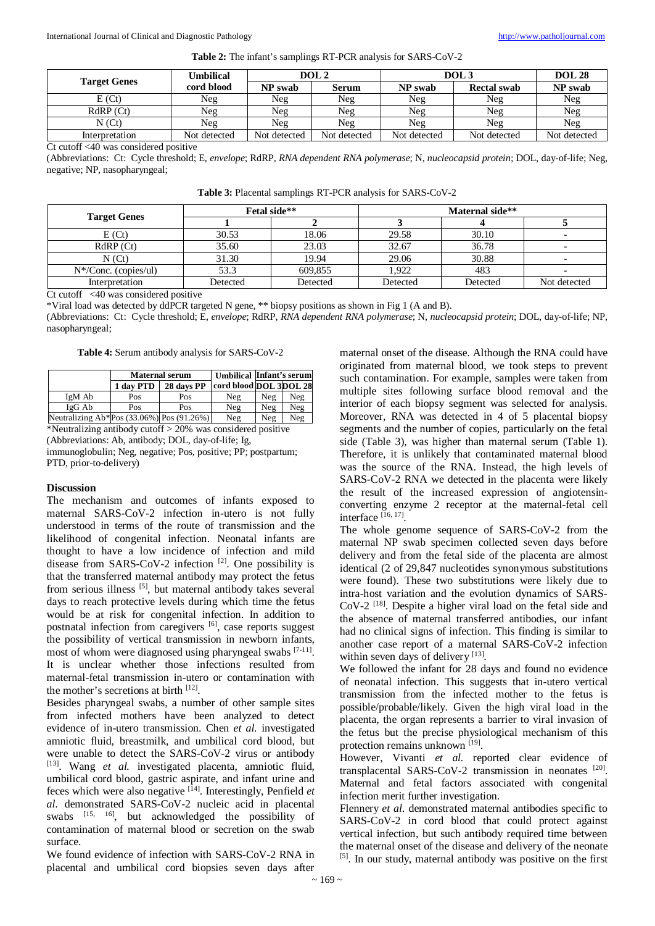| <b>Target Genes</b> | Umbilical    | DOL <sub>2</sub> |              | DOL3         |                    | <b>DOL 28</b> |
|---------------------|--------------|------------------|--------------|--------------|--------------------|---------------|
|                     | cord blood   | NP swab          | Serum        | NP swab      | <b>Rectal swab</b> | NP swab       |
| E(Ct)               | Neg          | Neg              | Neg          | Neg          | Neg                | Neg           |
| $RdRP$ (Ct)         | Neg          | Neg              | Neg          | Neg          | Neg                | Neg           |
| $N($ $Ct)$          | Neg          | Neg              | Neg          | Neg          | Neg                | Neg           |
| Interpretation      | Not detected | Not detected     | Not detected | Not detected | Not detected       | Not detected  |

**Table 2:** The infant's samplings RT-PCR analysis for SARS-CoV-2

Ct cutoff <40 was considered positive

(Abbreviations: Ct: Cycle threshold; E, *envelope*; RdRP, *RNA dependent RNA polymerase*; N, *nucleocapsid protein*; DOL, day-of-life; Neg, negative; NP, nasopharyngeal;

| Table 3: Placental samplings RT-PCR analysis for SARS-CoV-2 |  |  |  |
|-------------------------------------------------------------|--|--|--|
|-------------------------------------------------------------|--|--|--|

| <b>Target Genes</b>    |          | Fetal side** | Maternal side** |          |              |  |
|------------------------|----------|--------------|-----------------|----------|--------------|--|
|                        |          |              |                 |          |              |  |
| E(Ct)                  | 30.53    | 18.06        | 29.58           | 30.10    |              |  |
| RdRP(Ct)               | 35.60    | 23.03        | 32.67           | 36.78    |              |  |
| N(St)                  | 31.30    | 19.94        | 29.06           | 30.88    |              |  |
| $N*/Conc.$ (copies/ul) | 53.3     | 609,855      | 1.922           | 483      |              |  |
| Interpretation         | Detected | Detected     | Detected        | Detected | Not detected |  |

Ct cutoff <40 was considered positive

\*Viral load was detected by ddPCR targeted N gene, \*\* biopsy positions as shown in Fig 1 (A and B).

(Abbreviations: Ct: Cycle threshold; E, *envelope*; RdRP, *RNA dependent RNA polymerase*; N, *nucleocapsid protein*; DOL, day-of-life; NP, nasopharyngeal;

**Table 4:** Serum antibody analysis for SARS-CoV-2

|                                                 |           | <b>Maternal serum</b> | <b>Umbilical Infant's serum</b> |     |     |
|-------------------------------------------------|-----------|-----------------------|---------------------------------|-----|-----|
|                                                 | 1 day PTD | 28 days PP            | cord blood DOL 3DOL 28          |     |     |
| IgM Ab                                          | Pos       | Pos                   | Neg                             | Neg | Neg |
| IgG Ab                                          | Pos       | Pos                   | Neg                             | Neg | Neg |
| Neutralizing Ab*Pos $(33.06\%)$ Pos $(91.26\%)$ |           |                       | Neg                             | Neg | Neg |

\*Neutralizing antibody cutoff  $>$  20% was considered positive (Abbreviations: Ab, antibody; DOL, day-of-life; Ig,

immunoglobulin; Neg, negative; Pos, positive; PP; postpartum; PTD, prior-to-delivery)

## **Discussion**

The mechanism and outcomes of infants exposed to maternal SARS-CoV-2 infection in-utero is not fully understood in terms of the route of transmission and the likelihood of congenital infection. Neonatal infants are thought to have a low incidence of infection and mild disease from SARS-CoV-2 infection [2]. One possibility is that the transferred maternal antibody may protect the fetus from serious illness [5], but maternal antibody takes several days to reach protective levels during which time the fetus would be at risk for congenital infection. In addition to postnatal infection from caregivers [6], case reports suggest the possibility of vertical transmission in newborn infants, most of whom were diagnosed using pharyngeal swabs [7-11]. It is unclear whether those infections resulted from maternal-fetal transmission in-utero or contamination with the mother's secretions at birth [12].

Besides pharyngeal swabs, a number of other sample sites from infected mothers have been analyzed to detect evidence of in-utero transmission. Chen *et al.* investigated amniotic fluid, breastmilk, and umbilical cord blood, but were unable to detect the SARS-CoV-2 virus or antibody [13]. Wang *et al.* investigated placenta, amniotic fluid, umbilical cord blood, gastric aspirate, and infant urine and feces which were also negative [14]. Interestingly, Penfield *et al.* demonstrated SARS-CoV-2 nucleic acid in placental swabs [15, 16], but acknowledged the possibility of contamination of maternal blood or secretion on the swab surface.

We found evidence of infection with SARS-CoV-2 RNA in placental and umbilical cord biopsies seven days after

maternal onset of the disease. Although the RNA could have originated from maternal blood, we took steps to prevent such contamination. For example, samples were taken from multiple sites following surface blood removal and the interior of each biopsy segment was selected for analysis. Moreover, RNA was detected in 4 of 5 placental biopsy segments and the number of copies, particularly on the fetal side (Table 3), was higher than maternal serum (Table 1). Therefore, it is unlikely that contaminated maternal blood was the source of the RNA. Instead, the high levels of SARS-CoV-2 RNA we detected in the placenta were likely the result of the increased expression of angiotensinconverting enzyme 2 receptor at the maternal-fetal cell interface [16, 17].

The whole genome sequence of SARS-CoV-2 from the maternal NP swab specimen collected seven days before delivery and from the fetal side of the placenta are almost identical (2 of 29,847 nucleotides synonymous substitutions were found). These two substitutions were likely due to intra-host variation and the evolution dynamics of SARS-CoV-2 [18]. Despite a higher viral load on the fetal side and the absence of maternal transferred antibodies, our infant had no clinical signs of infection. This finding is similar to another case report of a maternal SARS-CoV-2 infection within seven days of delivery [13].

We followed the infant for 28 days and found no evidence of neonatal infection. This suggests that in-utero vertical transmission from the infected mother to the fetus is possible/probable/likely. Given the high viral load in the placenta, the organ represents a barrier to viral invasion of the fetus but the precise physiological mechanism of this protection remains unknown [19].

However, Vivanti et al. reported clear evidence of transplacental SARS-CoV-2 transmission in neonates [20]. Maternal and fetal factors associated with congenital infection merit further investigation.

Flennery *et al.* demonstrated maternal antibodies specific to SARS-CoV-2 in cord blood that could protect against vertical infection, but such antibody required time between the maternal onset of the disease and delivery of the neonate [5]. In our study, maternal antibody was positive on the first